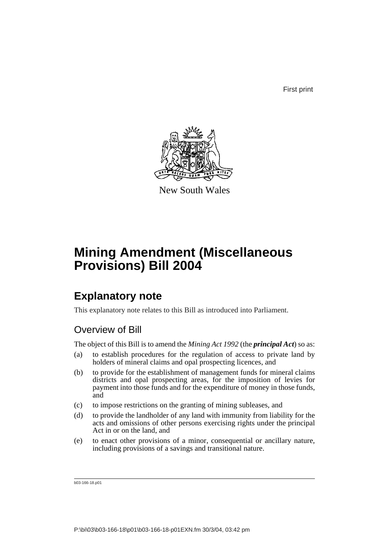First print



New South Wales

# **Mining Amendment (Miscellaneous Provisions) Bill 2004**

## **Explanatory note**

This explanatory note relates to this Bill as introduced into Parliament.

## Overview of Bill

The object of this Bill is to amend the *Mining Act 1992* (the *principal Act*) so as:

- (a) to establish procedures for the regulation of access to private land by holders of mineral claims and opal prospecting licences, and
- (b) to provide for the establishment of management funds for mineral claims districts and opal prospecting areas, for the imposition of levies for payment into those funds and for the expenditure of money in those funds, and
- (c) to impose restrictions on the granting of mining subleases, and
- (d) to provide the landholder of any land with immunity from liability for the acts and omissions of other persons exercising rights under the principal Act in or on the land, and
- (e) to enact other provisions of a minor, consequential or ancillary nature, including provisions of a savings and transitional nature.

b03-166-18.p01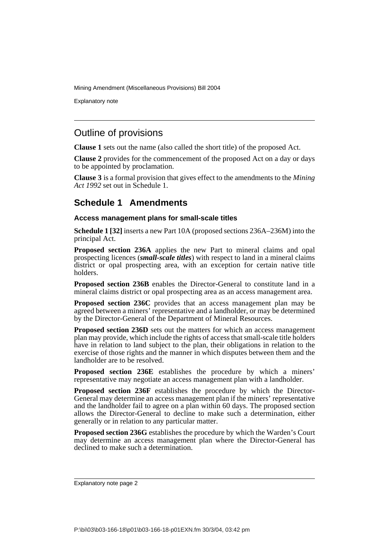Explanatory note

### Outline of provisions

**Clause 1** sets out the name (also called the short title) of the proposed Act.

**Clause 2** provides for the commencement of the proposed Act on a day or days to be appointed by proclamation.

**Clause 3** is a formal provision that gives effect to the amendments to the *Mining Act 1992* set out in Schedule 1.

## **Schedule 1 Amendments**

#### **Access management plans for small-scale titles**

**Schedule 1 [32]** inserts a new Part 10A (proposed sections 236A–236M) into the principal Act.

**Proposed section 236A** applies the new Part to mineral claims and opal prospecting licences (*small-scale titles*) with respect to land in a mineral claims district or opal prospecting area, with an exception for certain native title holders.

**Proposed section 236B** enables the Director-General to constitute land in a mineral claims district or opal prospecting area as an access management area.

**Proposed section 236C** provides that an access management plan may be agreed between a miners' representative and a landholder, or may be determined by the Director-General of the Department of Mineral Resources.

**Proposed section 236D** sets out the matters for which an access management plan may provide, which include the rights of access that small-scale title holders have in relation to land subject to the plan, their obligations in relation to the exercise of those rights and the manner in which disputes between them and the landholder are to be resolved.

**Proposed section 236E** establishes the procedure by which a miners' representative may negotiate an access management plan with a landholder.

**Proposed section 236F** establishes the procedure by which the Director-General may determine an access management plan if the miners' representative and the landholder fail to agree on a plan within 60 days. The proposed section allows the Director-General to decline to make such a determination, either generally or in relation to any particular matter.

**Proposed section 236G** establishes the procedure by which the Warden's Court may determine an access management plan where the Director-General has declined to make such a determination.

Explanatory note page 2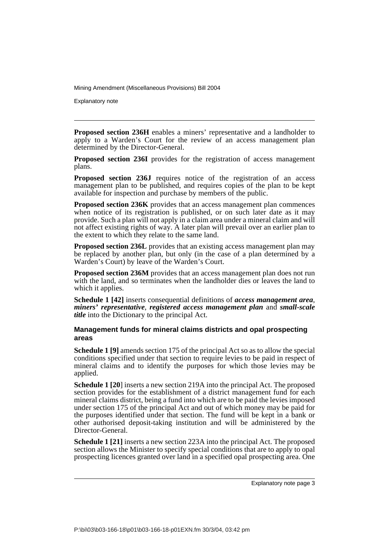Explanatory note

**Proposed section 236H** enables a miners' representative and a landholder to apply to a Warden's Court for the review of an access management plan determined by the Director-General.

**Proposed section 236I** provides for the registration of access management plans.

**Proposed section 236J** requires notice of the registration of an access management plan to be published, and requires copies of the plan to be kept available for inspection and purchase by members of the public.

**Proposed section 236K** provides that an access management plan commences when notice of its registration is published, or on such later date as it may provide. Such a plan will not apply in a claim area under a mineral claim and will not affect existing rights of way. A later plan will prevail over an earlier plan to the extent to which they relate to the same land.

**Proposed section 236L** provides that an existing access management plan may be replaced by another plan, but only (in the case of a plan determined by a Warden's Court) by leave of the Warden's Court.

**Proposed section 236M** provides that an access management plan does not run with the land, and so terminates when the landholder dies or leaves the land to which it applies.

**Schedule 1 [42]** inserts consequential definitions of *access management area*, *miners' representative*, *registered access management plan* and *small-scale title* into the Dictionary to the principal Act.

#### **Management funds for mineral claims districts and opal prospecting areas**

**Schedule 1 [9]** amends section 175 of the principal Act so as to allow the special conditions specified under that section to require levies to be paid in respect of mineral claims and to identify the purposes for which those levies may be applied.

**Schedule 1 [20**] inserts a new section 219A into the principal Act. The proposed section provides for the establishment of a district management fund for each mineral claims district, being a fund into which are to be paid the levies imposed under section 175 of the principal Act and out of which money may be paid for the purposes identified under that section. The fund will be kept in a bank or other authorised deposit-taking institution and will be administered by the Director-General.

**Schedule 1 [21]** inserts a new section 223A into the principal Act. The proposed section allows the Minister to specify special conditions that are to apply to opal prospecting licences granted over land in a specified opal prospecting area. One

Explanatory note page 3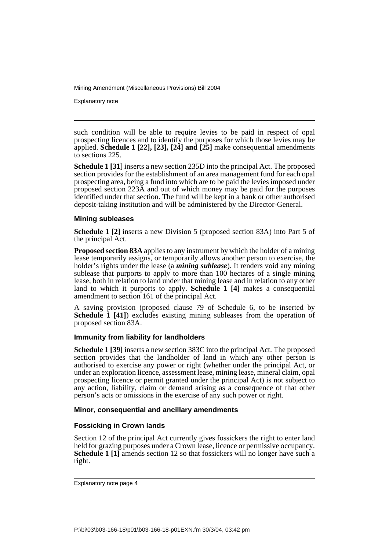Explanatory note

such condition will be able to require levies to be paid in respect of opal prospecting licences and to identify the purposes for which those levies may be applied. **Schedule 1 [22], [23], [24] and [25]** make consequential amendments to sections 225.

**Schedule 1 [31**] inserts a new section 235D into the principal Act. The proposed section provides for the establishment of an area management fund for each opal prospecting area, being a fund into which are to be paid the levies imposed under proposed section 223A and out of which money may be paid for the purposes identified under that section. The fund will be kept in a bank or other authorised deposit-taking institution and will be administered by the Director-General.

#### **Mining subleases**

**Schedule 1 [2]** inserts a new Division 5 (proposed section 83A) into Part 5 of the principal Act.

**Proposed section 83A** applies to any instrument by which the holder of a mining lease temporarily assigns, or temporarily allows another person to exercise, the holder's rights under the lease (a *mining sublease*). It renders void any mining sublease that purports to apply to more than 100 hectares of a single mining lease, both in relation to land under that mining lease and in relation to any other land to which it purports to apply. **Schedule 1 [4]** makes a consequential amendment to section 161 of the principal Act.

A saving provision (proposed clause 79 of Schedule 6, to be inserted by **Schedule 1 [41]**) excludes existing mining subleases from the operation of proposed section 83A.

#### **Immunity from liability for landholders**

**Schedule 1 [39]** inserts a new section 383C into the principal Act. The proposed section provides that the landholder of land in which any other person is authorised to exercise any power or right (whether under the principal Act, or under an exploration licence, assessment lease, mining lease, mineral claim, opal prospecting licence or permit granted under the principal Act) is not subject to any action, liability, claim or demand arising as a consequence of that other person's acts or omissions in the exercise of any such power or right.

#### **Minor, consequential and ancillary amendments**

#### **Fossicking in Crown lands**

Section 12 of the principal Act currently gives fossickers the right to enter land held for grazing purposes under a Crown lease, licence or permissive occupancy. **Schedule 1 [1]** amends section 12 so that fossickers will no longer have such a right.

Explanatory note page 4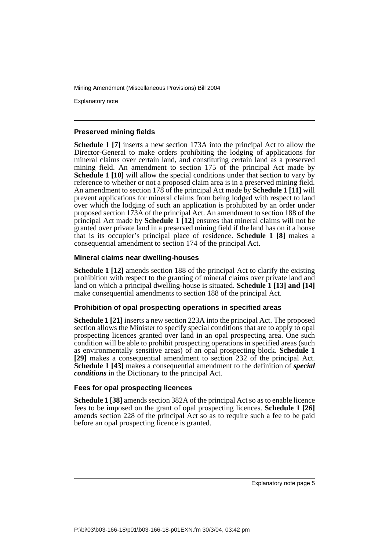Explanatory note

#### **Preserved mining fields**

**Schedule 1 [7]** inserts a new section 173A into the principal Act to allow the Director-General to make orders prohibiting the lodging of applications for mineral claims over certain land, and constituting certain land as a preserved mining field. An amendment to section 175 of the principal Act made by **Schedule 1 [10]** will allow the special conditions under that section to vary by reference to whether or not a proposed claim area is in a preserved mining field. An amendment to section 178 of the principal Act made by **Schedule 1 [11]** will prevent applications for mineral claims from being lodged with respect to land over which the lodging of such an application is prohibited by an order under proposed section 173A of the principal Act. An amendment to section 188 of the principal Act made by **Schedule 1 [12]** ensures that mineral claims will not be granted over private land in a preserved mining field if the land has on it a house that is its occupier's principal place of residence. **Schedule 1 [8]** makes a consequential amendment to section 174 of the principal Act.

#### **Mineral claims near dwelling-houses**

**Schedule 1 [12]** amends section 188 of the principal Act to clarify the existing prohibition with respect to the granting of mineral claims over private land and land on which a principal dwelling-house is situated. **Schedule 1 [13] and [14]** make consequential amendments to section 188 of the principal Act.

#### **Prohibition of opal prospecting operations in specified areas**

**Schedule 1 [21]** inserts a new section 223A into the principal Act. The proposed section allows the Minister to specify special conditions that are to apply to opal prospecting licences granted over land in an opal prospecting area. One such condition will be able to prohibit prospecting operations in specified areas (such as environmentally sensitive areas) of an opal prospecting block. **Schedule 1 [29]** makes a consequential amendment to section 232 of the principal Act. **Schedule 1 [43]** makes a consequential amendment to the definition of *special conditions* in the Dictionary to the principal Act.

#### **Fees for opal prospecting licences**

**Schedule 1 [38]** amends section 382A of the principal Act so as to enable licence fees to be imposed on the grant of opal prospecting licences. **Schedule 1 [26]** amends section 228 of the principal Act so as to require such a fee to be paid before an opal prospecting licence is granted.

Explanatory note page 5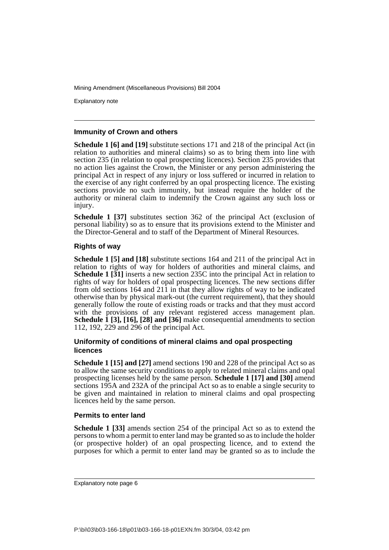Explanatory note

#### **Immunity of Crown and others**

**Schedule 1 [6] and [19]** substitute sections 171 and 218 of the principal Act (in relation to authorities and mineral claims) so as to bring them into line with section 235 (in relation to opal prospecting licences). Section 235 provides that no action lies against the Crown, the Minister or any person administering the principal Act in respect of any injury or loss suffered or incurred in relation to the exercise of any right conferred by an opal prospecting licence. The existing sections provide no such immunity, but instead require the holder of the authority or mineral claim to indemnify the Crown against any such loss or injury.

**Schedule 1 [37]** substitutes section 362 of the principal Act (exclusion of personal liability) so as to ensure that its provisions extend to the Minister and the Director-General and to staff of the Department of Mineral Resources.

#### **Rights of way**

**Schedule 1 [5] and [18]** substitute sections 164 and 211 of the principal Act in relation to rights of way for holders of authorities and mineral claims, and **Schedule 1** [31] inserts a new section 235C into the principal Act in relation to rights of way for holders of opal prospecting licences. The new sections differ from old sections 164 and 211 in that they allow rights of way to be indicated otherwise than by physical mark-out (the current requirement), that they should generally follow the route of existing roads or tracks and that they must accord with the provisions of any relevant registered access management plan. **Schedule 1 [3], [16], [28] and [36]** make consequential amendments to section 112, 192, 229 and 296 of the principal Act.

#### **Uniformity of conditions of mineral claims and opal prospecting licences**

**Schedule 1 [15] and [27]** amend sections 190 and 228 of the principal Act so as to allow the same security conditions to apply to related mineral claims and opal prospecting licenses held by the same person. **Schedule 1 [17] and [30]** amend sections 195A and 232A of the principal Act so as to enable a single security to be given and maintained in relation to mineral claims and opal prospecting licences held by the same person.

#### **Permits to enter land**

**Schedule 1 [33]** amends section 254 of the principal Act so as to extend the persons to whom a permit to enter land may be granted so as to include the holder (or prospective holder) of an opal prospecting licence, and to extend the purposes for which a permit to enter land may be granted so as to include the

Explanatory note page 6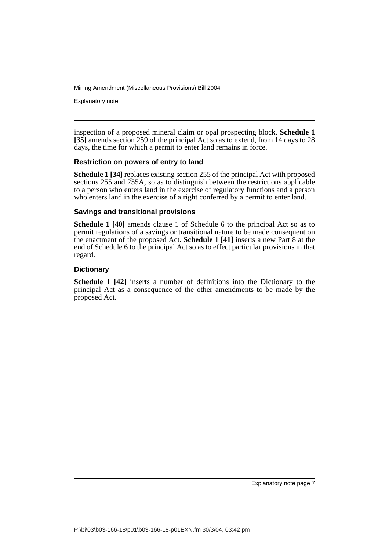Explanatory note

inspection of a proposed mineral claim or opal prospecting block. **Schedule 1 [35]** amends section 259 of the principal Act so as to extend, from 14 days to 28 days, the time for which a permit to enter land remains in force.

#### **Restriction on powers of entry to land**

**Schedule 1 [34]** replaces existing section 255 of the principal Act with proposed sections 255 and 255A, so as to distinguish between the restrictions applicable to a person who enters land in the exercise of regulatory functions and a person who enters land in the exercise of a right conferred by a permit to enter land.

#### **Savings and transitional provisions**

**Schedule 1 [40]** amends clause 1 of Schedule 6 to the principal Act so as to permit regulations of a savings or transitional nature to be made consequent on the enactment of the proposed Act. **Schedule 1 [41]** inserts a new Part 8 at the end of Schedule 6 to the principal Act so as to effect particular provisions in that regard.

#### **Dictionary**

**Schedule 1 [42]** inserts a number of definitions into the Dictionary to the principal Act as a consequence of the other amendments to be made by the proposed Act.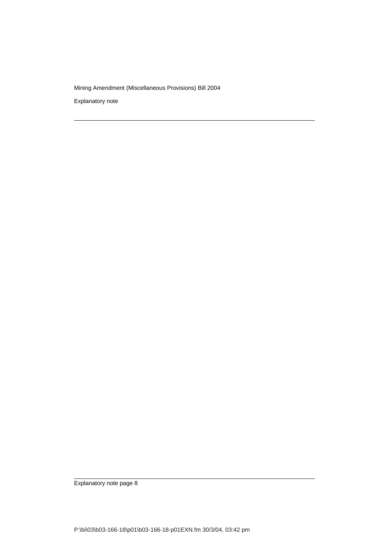Explanatory note

Explanatory note page 8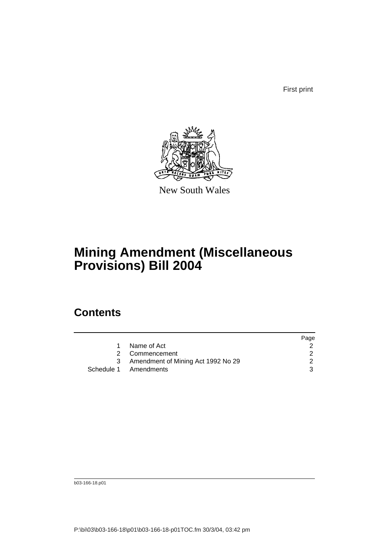First print



New South Wales

# **Mining Amendment (Miscellaneous Provisions) Bill 2004**

## **Contents**

|           |                                    | Page |
|-----------|------------------------------------|------|
| $1 \quad$ | Name of Act                        |      |
|           | 2 Commencement                     |      |
|           | Amendment of Mining Act 1992 No 29 |      |
|           | Schedule 1 Amendments              | 3    |

b03-166-18.p01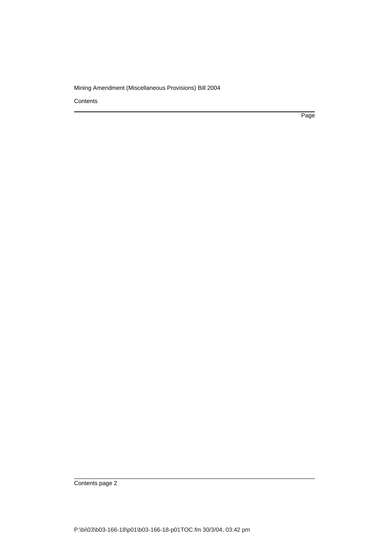**Contents** 

Page

Contents page 2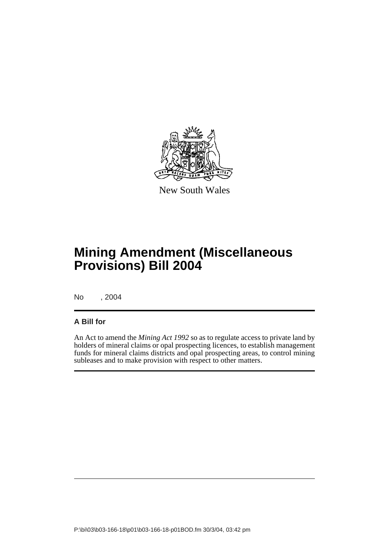

New South Wales

# **Mining Amendment (Miscellaneous Provisions) Bill 2004**

No , 2004

#### **A Bill for**

An Act to amend the *Mining Act 1992* so as to regulate access to private land by holders of mineral claims or opal prospecting licences, to establish management funds for mineral claims districts and opal prospecting areas, to control mining subleases and to make provision with respect to other matters.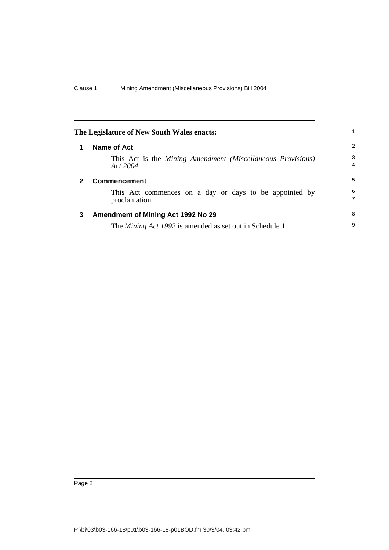<span id="page-11-2"></span><span id="page-11-1"></span><span id="page-11-0"></span>

|              | The Legislature of New South Wales enacts:                               | 1.                  |
|--------------|--------------------------------------------------------------------------|---------------------|
| 1            | Name of Act                                                              | 2                   |
|              | This Act is the Mining Amendment (Miscellaneous Provisions)<br>Act 2004. | 3<br>4              |
| $\mathbf{2}$ | <b>Commencement</b>                                                      | 5                   |
|              | This Act commences on a day or days to be appointed by<br>proclamation.  | 6<br>$\overline{7}$ |
| 3            | Amendment of Mining Act 1992 No 29                                       | 8                   |
|              | The <i>Mining Act 1992</i> is amended as set out in Schedule 1.          | 9                   |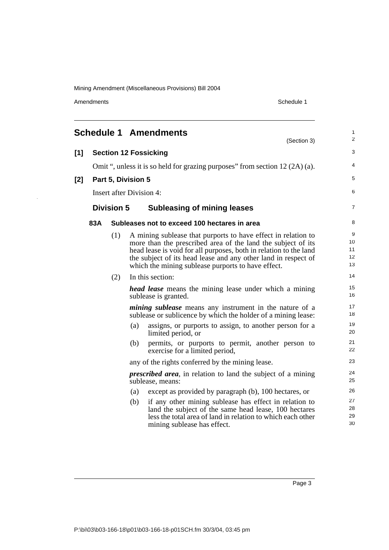Amendments Schedule 1

 $\hat{\boldsymbol{\tau}}$ 

<span id="page-12-0"></span>

|     |     |                                 |     | <b>Schedule 1 Amendments</b>                                                                                                                                                                                                                                                                                               | (Section 3) | 1<br>$\overline{2}$       |
|-----|-----|---------------------------------|-----|----------------------------------------------------------------------------------------------------------------------------------------------------------------------------------------------------------------------------------------------------------------------------------------------------------------------------|-------------|---------------------------|
| [1] |     |                                 |     | <b>Section 12 Fossicking</b>                                                                                                                                                                                                                                                                                               |             | 3                         |
|     |     |                                 |     | Omit ", unless it is so held for grazing purposes" from section $12(2A)(a)$ .                                                                                                                                                                                                                                              |             | 4                         |
| [2] |     | Part 5, Division 5              |     |                                                                                                                                                                                                                                                                                                                            |             | 5                         |
|     |     | <b>Insert after Division 4:</b> |     |                                                                                                                                                                                                                                                                                                                            |             | 6                         |
|     |     | <b>Division 5</b>               |     | <b>Subleasing of mining leases</b>                                                                                                                                                                                                                                                                                         |             | $\overline{7}$            |
|     | 83A |                                 |     | Subleases not to exceed 100 hectares in area                                                                                                                                                                                                                                                                               |             | 8                         |
|     |     | (1)                             |     | A mining sublease that purports to have effect in relation to<br>more than the prescribed area of the land the subject of its<br>head lease is void for all purposes, both in relation to the land<br>the subject of its head lease and any other land in respect of<br>which the mining sublease purports to have effect. |             | 9<br>10<br>11<br>12<br>13 |
|     |     | (2)                             |     | In this section:                                                                                                                                                                                                                                                                                                           |             | 14                        |
|     |     |                                 |     | head lease means the mining lease under which a mining<br>sublease is granted.                                                                                                                                                                                                                                             |             | 15<br>16                  |
|     |     |                                 |     | <i>mining sublease</i> means any instrument in the nature of a<br>sublease or sublicence by which the holder of a mining lease:                                                                                                                                                                                            |             | 17<br>18                  |
|     |     |                                 | (a) | assigns, or purports to assign, to another person for a<br>limited period, or                                                                                                                                                                                                                                              |             | 19<br>20                  |
|     |     |                                 | (b) | permits, or purports to permit, another person to<br>exercise for a limited period,                                                                                                                                                                                                                                        |             | 21<br>22                  |
|     |     |                                 |     | any of the rights conferred by the mining lease.                                                                                                                                                                                                                                                                           |             | 23                        |
|     |     |                                 |     | <i>prescribed area</i> , in relation to land the subject of a mining<br>sublease, means:                                                                                                                                                                                                                                   |             | 24<br>25                  |
|     |     |                                 | (a) | except as provided by paragraph (b), 100 hectares, or                                                                                                                                                                                                                                                                      |             | 26                        |
|     |     |                                 | (b) | if any other mining sublease has effect in relation to<br>land the subject of the same head lease, 100 hectares<br>less the total area of land in relation to which each other<br>mining sublease has effect.                                                                                                              |             | 27<br>28<br>29<br>30      |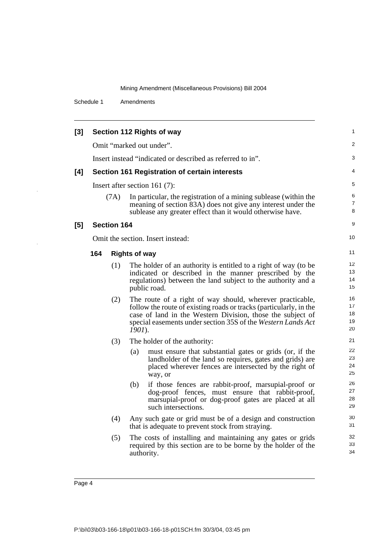Schedule 1 Amendments

l.

 $\ddot{\phantom{a}}$ 

| [3] |                                                            |                    | Section 112 Rights of way                                                                                                                                                                                                                                                  | 1                          |  |  |  |  |
|-----|------------------------------------------------------------|--------------------|----------------------------------------------------------------------------------------------------------------------------------------------------------------------------------------------------------------------------------------------------------------------------|----------------------------|--|--|--|--|
|     |                                                            |                    | Omit "marked out under".                                                                                                                                                                                                                                                   | 2                          |  |  |  |  |
|     | Insert instead "indicated or described as referred to in". |                    |                                                                                                                                                                                                                                                                            |                            |  |  |  |  |
| [4] |                                                            |                    | Section 161 Registration of certain interests                                                                                                                                                                                                                              | $\overline{4}$             |  |  |  |  |
|     |                                                            |                    | Insert after section 161 (7):                                                                                                                                                                                                                                              | 5                          |  |  |  |  |
|     |                                                            | (7A)               | In particular, the registration of a mining sublease (within the<br>meaning of section 83A) does not give any interest under the<br>sublease any greater effect than it would otherwise have.                                                                              | 6<br>7<br>8                |  |  |  |  |
| [5] |                                                            | <b>Section 164</b> |                                                                                                                                                                                                                                                                            | 9                          |  |  |  |  |
|     |                                                            |                    | Omit the section. Insert instead:                                                                                                                                                                                                                                          | 10                         |  |  |  |  |
|     | 164                                                        |                    | <b>Rights of way</b>                                                                                                                                                                                                                                                       | 11                         |  |  |  |  |
|     |                                                            | (1)                | The holder of an authority is entitled to a right of way (to be<br>indicated or described in the manner prescribed by the<br>regulations) between the land subject to the authority and a<br>public road.                                                                  | 12<br>13<br>14<br>15       |  |  |  |  |
|     |                                                            | (2)                | The route of a right of way should, wherever practicable,<br>follow the route of existing roads or tracks (particularly, in the<br>case of land in the Western Division, those the subject of<br>special easements under section 35S of the Western Lands Act<br>$1901$ ). | 16<br>17<br>18<br>19<br>20 |  |  |  |  |
|     |                                                            | (3)                | The holder of the authority:                                                                                                                                                                                                                                               | 21                         |  |  |  |  |
|     |                                                            |                    | must ensure that substantial gates or grids (or, if the<br>(a)<br>landholder of the land so requires, gates and grids) are<br>placed wherever fences are intersected by the right of<br>way, or                                                                            | 22<br>23<br>24<br>25       |  |  |  |  |
|     |                                                            |                    | if those fences are rabbit-proof, marsupial-proof or<br>(b)<br>dog-proof fences, must ensure that rabbit-proof,<br>marsupial-proof or dog-proof gates are placed at all<br>such intersections.                                                                             | 26<br>27<br>28<br>29       |  |  |  |  |
|     |                                                            | (4)                | Any such gate or grid must be of a design and construction<br>that is adequate to prevent stock from straying.                                                                                                                                                             | 30<br>31                   |  |  |  |  |
|     |                                                            | (5)                | The costs of installing and maintaining any gates or grids<br>required by this section are to be borne by the holder of the<br>authority.                                                                                                                                  | 32<br>33<br>34             |  |  |  |  |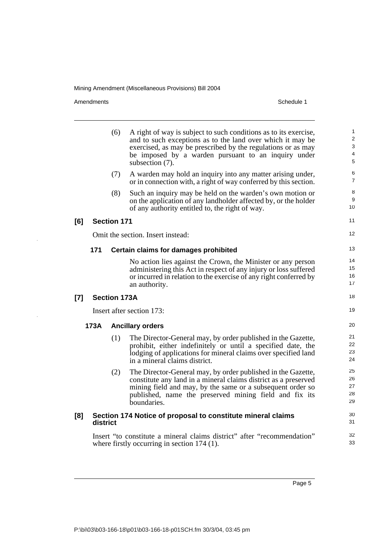Amendments Schedule 1

J.

 $\bar{z}$ 

|     |          | (6)                 | A right of way is subject to such conditions as to its exercise,<br>and to such exceptions as to the land over which it may be<br>exercised, as may be prescribed by the regulations or as may<br>be imposed by a warden pursuant to an inquiry under<br>subsection (7). | 1<br>2<br>$\ensuremath{\mathsf{3}}$<br>4<br>5 |
|-----|----------|---------------------|--------------------------------------------------------------------------------------------------------------------------------------------------------------------------------------------------------------------------------------------------------------------------|-----------------------------------------------|
|     |          | (7)                 | A warden may hold an inquiry into any matter arising under,<br>or in connection with, a right of way conferred by this section.                                                                                                                                          | 6<br>$\overline{7}$                           |
|     |          | (8)                 | Such an inquiry may be held on the warden's own motion or<br>on the application of any landholder affected by, or the holder<br>of any authority entitled to, the right of way.                                                                                          | 8<br>9<br>10                                  |
| [6] |          | <b>Section 171</b>  |                                                                                                                                                                                                                                                                          | 11                                            |
|     |          |                     | Omit the section. Insert instead:                                                                                                                                                                                                                                        | 12                                            |
|     | 171      |                     | Certain claims for damages prohibited                                                                                                                                                                                                                                    | 13                                            |
|     |          |                     | No action lies against the Crown, the Minister or any person                                                                                                                                                                                                             | 14                                            |
|     |          |                     | administering this Act in respect of any injury or loss suffered                                                                                                                                                                                                         | 15                                            |
|     |          |                     | or incurred in relation to the exercise of any right conferred by<br>an authority.                                                                                                                                                                                       | 16<br>17                                      |
| [7] |          | <b>Section 173A</b> |                                                                                                                                                                                                                                                                          | 18                                            |
|     |          |                     | Insert after section 173:                                                                                                                                                                                                                                                | 19                                            |
|     | 173A     |                     | <b>Ancillary orders</b>                                                                                                                                                                                                                                                  | 20                                            |
|     |          | (1)                 | The Director-General may, by order published in the Gazette,<br>prohibit, either indefinitely or until a specified date, the<br>lodging of applications for mineral claims over specified land<br>in a mineral claims district.                                          | 21<br>22<br>23<br>24                          |
|     |          | (2)                 | The Director-General may, by order published in the Gazette,<br>constitute any land in a mineral claims district as a preserved<br>mining field and may, by the same or a subsequent order so<br>published, name the preserved mining field and fix its<br>boundaries.   | 25<br>26<br>27<br>28<br>29                    |
| [8] | district |                     | Section 174 Notice of proposal to constitute mineral claims                                                                                                                                                                                                              | 30<br>31                                      |
|     |          |                     | Insert "to constitute a mineral claims district" after "recommendation"<br>where firstly occurring in section $174(1)$ .                                                                                                                                                 | 32<br>33                                      |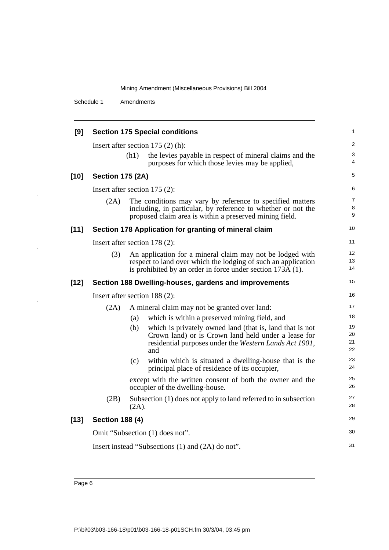Schedule 1 Amendments

| [9]    |                                 |          | <b>Section 175 Special conditions</b>                                                                                                                                                    | 1                        |
|--------|---------------------------------|----------|------------------------------------------------------------------------------------------------------------------------------------------------------------------------------------------|--------------------------|
|        |                                 | (h1)     | Insert after section $175(2)$ (h):<br>the levies payable in respect of mineral claims and the<br>purposes for which those levies may be applied,                                         | $\overline{c}$<br>3<br>4 |
| $[10]$ | <b>Section 175 (2A)</b>         |          |                                                                                                                                                                                          | 5                        |
|        | Insert after section $175(2)$ : |          |                                                                                                                                                                                          | 6                        |
|        | (2A)                            |          | The conditions may vary by reference to specified matters<br>including, in particular, by reference to whether or not the<br>proposed claim area is within a preserved mining field.     | $\overline{7}$<br>8<br>9 |
| $[11]$ |                                 |          | Section 178 Application for granting of mineral claim                                                                                                                                    | 10                       |
|        | Insert after section $178(2)$ : |          |                                                                                                                                                                                          | 11                       |
|        | (3)                             |          | An application for a mineral claim may not be lodged with<br>respect to land over which the lodging of such an application<br>is prohibited by an order in force under section 173A (1). | 12<br>13<br>14           |
| $[12]$ |                                 |          | Section 188 Dwelling-houses, gardens and improvements                                                                                                                                    | 15                       |
|        | Insert after section 188 (2):   |          |                                                                                                                                                                                          | 16                       |
|        | (2A)                            |          | A mineral claim may not be granted over land:                                                                                                                                            | 17                       |
|        |                                 | (a)      | which is within a preserved mining field, and                                                                                                                                            | 18                       |
|        |                                 | (b)      | which is privately owned land (that is, land that is not<br>Crown land) or is Crown land held under a lease for<br>residential purposes under the Western Lands Act 1901,<br>and         | 19<br>20<br>21<br>22     |
|        |                                 | (c)      | within which is situated a dwelling-house that is the<br>principal place of residence of its occupier,                                                                                   | 23<br>24                 |
|        |                                 |          | except with the written consent of both the owner and the<br>occupier of the dwelling-house.                                                                                             | 25<br>26                 |
|        | (2B)                            | $(2A)$ . | Subsection (1) does not apply to land referred to in subsection                                                                                                                          | 27<br>28                 |
| $[13]$ | <b>Section 188 (4)</b>          |          |                                                                                                                                                                                          | 29                       |
|        |                                 |          | Omit "Subsection (1) does not".                                                                                                                                                          | 30                       |
|        |                                 |          | Insert instead "Subsections (1) and (2A) do not".                                                                                                                                        | 31                       |

Page 6

 $\frac{1}{2}$ 

 $\ddot{\phantom{0}}$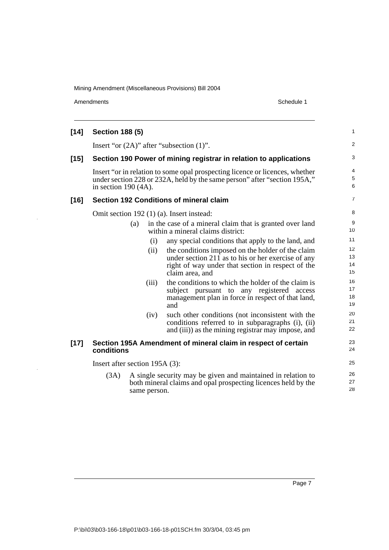Amendments Schedule 1

 $\hat{\boldsymbol{\beta}}$ 

| $[14]$ | <b>Section 188 (5)</b>         |                              |                                                                                                                                                                                                                                                                                                                                                                                                                                                                                                                                                                        | 1                                                                                 |
|--------|--------------------------------|------------------------------|------------------------------------------------------------------------------------------------------------------------------------------------------------------------------------------------------------------------------------------------------------------------------------------------------------------------------------------------------------------------------------------------------------------------------------------------------------------------------------------------------------------------------------------------------------------------|-----------------------------------------------------------------------------------|
|        |                                |                              | Insert "or $(2A)$ " after "subsection $(1)$ ".                                                                                                                                                                                                                                                                                                                                                                                                                                                                                                                         | 2                                                                                 |
| $[15]$ |                                |                              | Section 190 Power of mining registrar in relation to applications                                                                                                                                                                                                                                                                                                                                                                                                                                                                                                      | 3                                                                                 |
|        | in section $190(4A)$ .         |                              | Insert "or in relation to some opal prospecting licence or licences, whether<br>under section 228 or 232A, held by the same person" after "section 195A,"                                                                                                                                                                                                                                                                                                                                                                                                              | 4<br>5<br>6                                                                       |
| $[16]$ |                                |                              | <b>Section 192 Conditions of mineral claim</b>                                                                                                                                                                                                                                                                                                                                                                                                                                                                                                                         | $\overline{7}$                                                                    |
|        |                                |                              | Omit section 192 (1) (a). Insert instead:                                                                                                                                                                                                                                                                                                                                                                                                                                                                                                                              | 8                                                                                 |
|        |                                | (a)                          | in the case of a mineral claim that is granted over land<br>within a mineral claims district:                                                                                                                                                                                                                                                                                                                                                                                                                                                                          | 9<br>10 <sup>10</sup>                                                             |
|        |                                | (i)<br>(ii)<br>(iii)<br>(iv) | any special conditions that apply to the land, and<br>the conditions imposed on the holder of the claim<br>under section 211 as to his or her exercise of any<br>right of way under that section in respect of the<br>claim area, and<br>the conditions to which the holder of the claim is<br>subject pursuant to any registered<br>access<br>management plan in force in respect of that land,<br>and<br>such other conditions (not inconsistent with the<br>conditions referred to in subparagraphs (i), (ii)<br>and (iii)) as the mining registrar may impose, and | 11<br>12 <sup>2</sup><br>13<br>14<br>15<br>16<br>17<br>18<br>19<br>20<br>21<br>22 |
| $[17]$ | conditions                     |                              | Section 195A Amendment of mineral claim in respect of certain                                                                                                                                                                                                                                                                                                                                                                                                                                                                                                          | 23<br>24                                                                          |
|        | Insert after section 195A (3): |                              |                                                                                                                                                                                                                                                                                                                                                                                                                                                                                                                                                                        | 25                                                                                |
|        | (3A)                           | same person.                 | A single security may be given and maintained in relation to<br>both mineral claims and opal prospecting licences held by the                                                                                                                                                                                                                                                                                                                                                                                                                                          | 26<br>27<br>28                                                                    |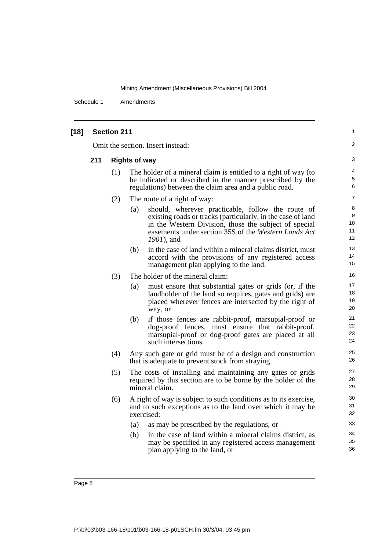Schedule 1 Amendments

| $[18]$ |                                   | <b>Section 211</b> |                                                                                                                                                                                                                                                        | 1                        |  |  |  |
|--------|-----------------------------------|--------------------|--------------------------------------------------------------------------------------------------------------------------------------------------------------------------------------------------------------------------------------------------------|--------------------------|--|--|--|
|        | Omit the section. Insert instead: |                    |                                                                                                                                                                                                                                                        |                          |  |  |  |
|        | 211                               |                    | <b>Rights of way</b>                                                                                                                                                                                                                                   | 3                        |  |  |  |
|        |                                   | (1)                | The holder of a mineral claim is entitled to a right of way (to<br>be indicated or described in the manner prescribed by the<br>regulations) between the claim area and a public road.                                                                 |                          |  |  |  |
|        |                                   | (2)                | The route of a right of way:                                                                                                                                                                                                                           | 7                        |  |  |  |
|        |                                   |                    | should, wherever practicable, follow the route of<br>(a)<br>existing roads or tracks (particularly, in the case of land<br>in the Western Division, those the subject of special<br>easements under section 35S of the Western Lands Act<br>1901), and | 8<br>9<br>10<br>11<br>12 |  |  |  |
|        |                                   |                    | (b)<br>in the case of land within a mineral claims district, must<br>accord with the provisions of any registered access<br>management plan applying to the land.                                                                                      | 13<br>14<br>15           |  |  |  |
|        |                                   | (3)                | The holder of the mineral claim:                                                                                                                                                                                                                       | 16                       |  |  |  |
|        |                                   |                    | (a)<br>must ensure that substantial gates or grids (or, if the<br>landholder of the land so requires, gates and grids) are<br>placed wherever fences are intersected by the right of<br>way, or                                                        | 17<br>18<br>19<br>20     |  |  |  |
|        |                                   |                    | (b)<br>if those fences are rabbit-proof, marsupial-proof or<br>dog-proof fences, must ensure that rabbit-proof,<br>marsupial-proof or dog-proof gates are placed at all<br>such intersections.                                                         | 21<br>22<br>23<br>24     |  |  |  |
|        |                                   | (4)                | Any such gate or grid must be of a design and construction<br>that is adequate to prevent stock from straying.                                                                                                                                         | 25<br>26                 |  |  |  |
|        |                                   | (5)                | The costs of installing and maintaining any gates or grids<br>required by this section are to be borne by the holder of the<br>mineral claim.                                                                                                          | 27<br>28<br>29           |  |  |  |
|        |                                   | (6)                | A right of way is subject to such conditions as to its exercise,<br>and to such exceptions as to the land over which it may be<br>exercised:                                                                                                           | 30<br>31<br>32           |  |  |  |
|        |                                   |                    | as may be prescribed by the regulations, or<br>(a)                                                                                                                                                                                                     | 33                       |  |  |  |
|        |                                   |                    | in the case of land within a mineral claims district, as<br>(b)<br>may be specified in any registered access management<br>plan applying to the land, or                                                                                               | 34<br>35<br>36           |  |  |  |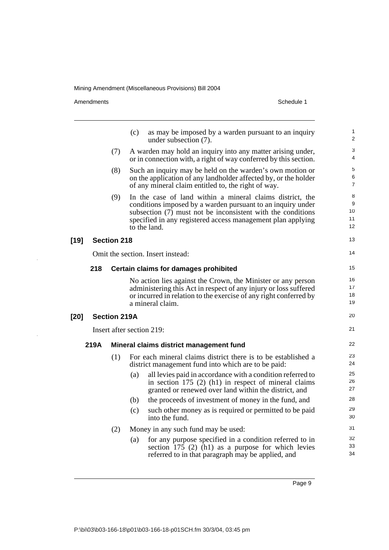Amendments Schedule 1

l,

l.

|        |      |                     | (c)<br>as may be imposed by a warden pursuant to an inquiry<br>under subsection (7).                                                                                                                                                                                   | 1<br>2                   |
|--------|------|---------------------|------------------------------------------------------------------------------------------------------------------------------------------------------------------------------------------------------------------------------------------------------------------------|--------------------------|
|        |      | (7)                 | A warden may hold an inquiry into any matter arising under,<br>or in connection with, a right of way conferred by this section.                                                                                                                                        | 3<br>4                   |
|        |      | (8)                 | Such an inquiry may be held on the warden's own motion or<br>on the application of any landholder affected by, or the holder<br>of any mineral claim entitled to, the right of way.                                                                                    | 5<br>6<br>$\overline{7}$ |
|        |      | (9)                 | In the case of land within a mineral claims district, the<br>conditions imposed by a warden pursuant to an inquiry under<br>subsection (7) must not be inconsistent with the conditions<br>specified in any registered access management plan applying<br>to the land. | 8<br>9<br>10<br>11<br>12 |
| $[19]$ |      | <b>Section 218</b>  |                                                                                                                                                                                                                                                                        | 13                       |
|        |      |                     | Omit the section. Insert instead:                                                                                                                                                                                                                                      | 14                       |
|        | 218  |                     | <b>Certain claims for damages prohibited</b>                                                                                                                                                                                                                           | 15                       |
|        |      |                     | No action lies against the Crown, the Minister or any person<br>administering this Act in respect of any injury or loss suffered<br>or incurred in relation to the exercise of any right conferred by<br>a mineral claim.                                              | 16<br>17<br>18<br>19     |
| $[20]$ |      | <b>Section 219A</b> |                                                                                                                                                                                                                                                                        | 20                       |
|        |      |                     | Insert after section 219:                                                                                                                                                                                                                                              | 21                       |
|        | 219A |                     | Mineral claims district management fund                                                                                                                                                                                                                                | 22                       |
|        |      | (1)                 | For each mineral claims district there is to be established a<br>district management fund into which are to be paid:                                                                                                                                                   | 23<br>24                 |
|        |      |                     | all levies paid in accordance with a condition referred to<br>(a)<br>in section $175$ (2) (h1) in respect of mineral claims<br>granted or renewed over land within the district, and                                                                                   | 25<br>26<br>27           |
|        |      |                     | (b)<br>the proceeds of investment of money in the fund, and                                                                                                                                                                                                            | 28                       |
|        |      |                     | such other money as is required or permitted to be paid<br>(c)<br>into the fund.                                                                                                                                                                                       | 29<br>30                 |
|        |      | (2)                 | Money in any such fund may be used:                                                                                                                                                                                                                                    | 31                       |
|        |      |                     | for any purpose specified in a condition referred to in<br>(a)<br>section $175$ (2) (h1) as a purpose for which levies<br>referred to in that paragraph may be applied, and                                                                                            | 32<br>33<br>34           |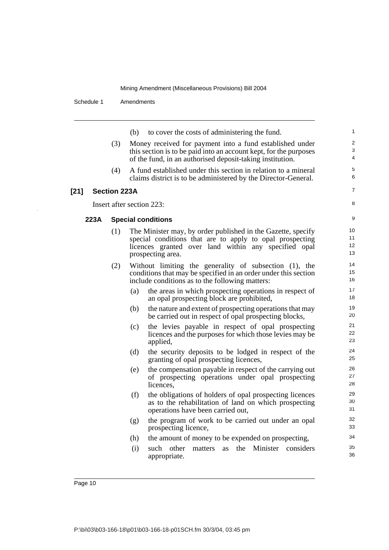Schedule 1 Amendments

|        |      |                     | (b)<br>to cover the costs of administering the fund.                                                                             |  |
|--------|------|---------------------|----------------------------------------------------------------------------------------------------------------------------------|--|
|        |      | (3)                 | Money received for payment into a fund established under                                                                         |  |
|        |      |                     | this section is to be paid into an account kept, for the purposes<br>of the fund, in an authorised deposit-taking institution.   |  |
|        |      | (4)                 | A fund established under this section in relation to a mineral<br>claims district is to be administered by the Director-General. |  |
| $[21]$ |      | <b>Section 223A</b> |                                                                                                                                  |  |
|        |      |                     | Insert after section 223:                                                                                                        |  |
|        | 223A |                     | <b>Special conditions</b>                                                                                                        |  |
|        |      | (1)                 | The Minister may, by order published in the Gazette, specify                                                                     |  |
|        |      |                     | special conditions that are to apply to opal prospecting                                                                         |  |
|        |      |                     | licences granted over land within any specified opal                                                                             |  |
|        |      |                     | prospecting area.                                                                                                                |  |
|        |      | (2)                 | Without limiting the generality of subsection (1), the                                                                           |  |
|        |      |                     | conditions that may be specified in an order under this section                                                                  |  |
|        |      |                     | include conditions as to the following matters:                                                                                  |  |
|        |      |                     | the areas in which prospecting operations in respect of<br>(a)                                                                   |  |
|        |      |                     | an opal prospecting block are prohibited,                                                                                        |  |
|        |      |                     | (b)<br>the nature and extent of prospecting operations that may<br>be carried out in respect of opal prospecting blocks,         |  |
|        |      |                     | the levies payable in respect of opal prospecting<br>(c)                                                                         |  |
|        |      |                     | licences and the purposes for which those levies may be<br>applied,                                                              |  |
|        |      |                     | (d)<br>the security deposits to be lodged in respect of the                                                                      |  |
|        |      |                     | granting of opal prospecting licences,                                                                                           |  |
|        |      |                     | (e)<br>the compensation payable in respect of the carrying out<br>of prospecting operations under opal prospecting               |  |
|        |      |                     | licences,                                                                                                                        |  |
|        |      |                     | (f)<br>the obligations of holders of opal prospecting licences                                                                   |  |
|        |      |                     | as to the rehabilitation of land on which prospecting                                                                            |  |
|        |      |                     | operations have been carried out,                                                                                                |  |
|        |      |                     | the program of work to be carried out under an opal<br>(g)                                                                       |  |
|        |      |                     | prospecting licence,                                                                                                             |  |
|        |      |                     | the amount of money to be expended on prospecting,<br>(h)                                                                        |  |
|        |      |                     | the<br>Minister<br>considers<br>(i)<br>such other<br>matters<br>as<br>appropriate.                                               |  |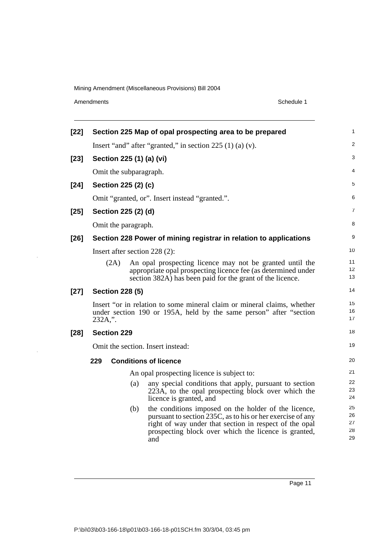Amendments Schedule 1

 $\ddot{\phantom{a}}$ 

 $\bar{L}$ 

| $[22]$ |                    |                          | Section 225 Map of opal prospecting area to be prepared                                                                                                                                                                                     | 1                          |
|--------|--------------------|--------------------------|---------------------------------------------------------------------------------------------------------------------------------------------------------------------------------------------------------------------------------------------|----------------------------|
|        |                    |                          | Insert "and" after "granted," in section $225(1)(a)(v)$ .                                                                                                                                                                                   | 2                          |
| $[23]$ |                    | Section 225 (1) (a) (vi) |                                                                                                                                                                                                                                             | 3                          |
|        |                    | Omit the subparagraph.   |                                                                                                                                                                                                                                             | 4                          |
| $[24]$ |                    | Section 225 (2) (c)      |                                                                                                                                                                                                                                             | 5                          |
|        |                    |                          | Omit "granted, or". Insert instead "granted.".                                                                                                                                                                                              | 6                          |
| $[25]$ |                    | Section 225 (2) (d)      |                                                                                                                                                                                                                                             | 7                          |
|        |                    | Omit the paragraph.      |                                                                                                                                                                                                                                             | 8                          |
| $[26]$ |                    |                          | Section 228 Power of mining registrar in relation to applications                                                                                                                                                                           | 9                          |
|        |                    |                          | Insert after section 228 (2):                                                                                                                                                                                                               | 10                         |
|        | (2A)               |                          | An opal prospecting licence may not be granted until the<br>appropriate opal prospecting licence fee (as determined under<br>section 382A) has been paid for the grant of the licence.                                                      | 11<br>12<br>13             |
| $[27]$ |                    | <b>Section 228 (5)</b>   |                                                                                                                                                                                                                                             | 14                         |
|        | 232A,".            |                          | Insert "or in relation to some mineral claim or mineral claims, whether<br>under section 190 or 195A, held by the same person" after "section                                                                                               | 15<br>16<br>17             |
| $[28]$ | <b>Section 229</b> |                          |                                                                                                                                                                                                                                             | 18                         |
|        |                    |                          | Omit the section. Insert instead:                                                                                                                                                                                                           | 19                         |
|        | 229                |                          | <b>Conditions of licence</b>                                                                                                                                                                                                                | 20                         |
|        |                    |                          | An opal prospecting licence is subject to:                                                                                                                                                                                                  | 21                         |
|        |                    | (a)                      | any special conditions that apply, pursuant to section<br>223A, to the opal prospecting block over which the<br>licence is granted, and                                                                                                     | 22<br>23<br>24             |
|        |                    | (b)                      | the conditions imposed on the holder of the licence,<br>pursuant to section 235C, as to his or her exercise of any<br>right of way under that section in respect of the opal<br>prospecting block over which the licence is granted,<br>and | 25<br>26<br>27<br>28<br>29 |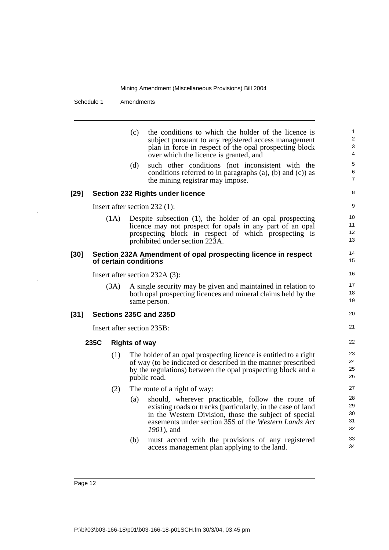Schedule 1 Amendments

|        |      |      | the conditions to which the holder of the licence is<br>(c)<br>subject pursuant to any registered access management<br>plan in force in respect of the opal prospecting block<br>over which the licence is granted, and<br>(d)<br>such other conditions (not inconsistent with the<br>conditions referred to in paragraphs (a), (b) and (c)) as | $\mathbf{1}$<br>2<br>3<br>4<br>5<br>6<br>$\overline{7}$ |
|--------|------|------|-------------------------------------------------------------------------------------------------------------------------------------------------------------------------------------------------------------------------------------------------------------------------------------------------------------------------------------------------|---------------------------------------------------------|
|        |      |      | the mining registrar may impose.                                                                                                                                                                                                                                                                                                                | 8                                                       |
| $[29]$ |      |      | <b>Section 232 Rights under licence</b>                                                                                                                                                                                                                                                                                                         |                                                         |
|        |      |      | Insert after section $232$ (1):                                                                                                                                                                                                                                                                                                                 | 9                                                       |
|        |      | (1A) | Despite subsection (1), the holder of an opal prospecting<br>licence may not prospect for opals in any part of an opal<br>prospecting block in respect of which prospecting is<br>prohibited under section 223A.                                                                                                                                | 10<br>11<br>12<br>13                                    |
| $[30]$ |      |      | Section 232A Amendment of opal prospecting licence in respect<br>of certain conditions                                                                                                                                                                                                                                                          | 14<br>15                                                |
|        |      |      | Insert after section 232A (3):                                                                                                                                                                                                                                                                                                                  | 16                                                      |
|        |      | (3A) | A single security may be given and maintained in relation to<br>both opal prospecting licences and mineral claims held by the<br>same person.                                                                                                                                                                                                   | 17<br>18<br>19                                          |
| $[31]$ |      |      | Sections 235C and 235D                                                                                                                                                                                                                                                                                                                          | 20                                                      |
|        |      |      | Insert after section 235B:                                                                                                                                                                                                                                                                                                                      | 21                                                      |
|        | 235C |      | <b>Rights of way</b>                                                                                                                                                                                                                                                                                                                            | 22                                                      |
|        |      | (1)  | The holder of an opal prospecting licence is entitled to a right<br>of way (to be indicated or described in the manner prescribed<br>by the regulations) between the opal prospecting block and a<br>public road.                                                                                                                               | 23<br>24<br>25<br>26                                    |
|        |      | (2)  | The route of a right of way:                                                                                                                                                                                                                                                                                                                    | 27                                                      |
|        |      |      | should, wherever practicable, follow the route of<br>(a)<br>existing roads or tracks (particularly, in the case of land<br>in the Western Division, those the subject of special<br>easements under section 35S of the Western Lands Act<br>1901), and                                                                                          | 28<br>29<br>30<br>31<br>32                              |
|        |      |      | (b)<br>must accord with the provisions of any registered<br>access management plan applying to the land.                                                                                                                                                                                                                                        | 33<br>34                                                |
|        |      |      |                                                                                                                                                                                                                                                                                                                                                 |                                                         |

 $\overline{a}$ 

l.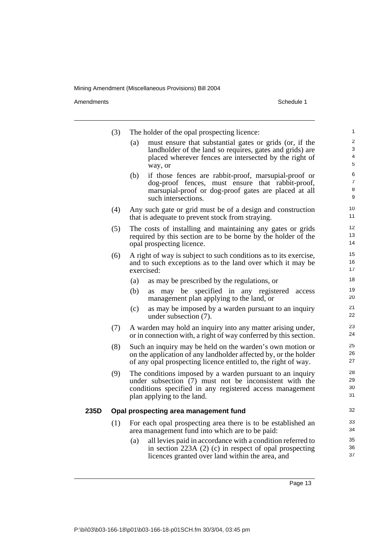Amendments Schedule 1

|      | (3) | The holder of the opal prospecting licence:<br>must ensure that substantial gates or grids (or, if the<br>(a)<br>landholder of the land so requires, gates and grids) are<br>placed wherever fences are intersected by the right of<br>way, or | 1<br>$\overline{\mathbf{c}}$<br>3<br>4<br>5 |
|------|-----|------------------------------------------------------------------------------------------------------------------------------------------------------------------------------------------------------------------------------------------------|---------------------------------------------|
|      |     | if those fences are rabbit-proof, marsupial-proof or<br>(b)<br>dog-proof fences, must ensure that rabbit-proof,<br>marsupial-proof or dog-proof gates are placed at all<br>such intersections.                                                 | 6<br>$\overline{7}$<br>8<br>9               |
|      | (4) | Any such gate or grid must be of a design and construction<br>that is adequate to prevent stock from straying.                                                                                                                                 | 10<br>11                                    |
|      | (5) | The costs of installing and maintaining any gates or grids<br>required by this section are to be borne by the holder of the<br>opal prospecting licence.                                                                                       | 12<br>13<br>14                              |
|      | (6) | A right of way is subject to such conditions as to its exercise,<br>and to such exceptions as to the land over which it may be<br>exercised:                                                                                                   | 15<br>16<br>17                              |
|      |     | as may be prescribed by the regulations, or<br>(a)                                                                                                                                                                                             | 18                                          |
|      |     | (b)<br>may be specified in any registered<br>as<br>access<br>management plan applying to the land, or                                                                                                                                          | 19<br>20                                    |
|      |     | (c)<br>as may be imposed by a warden pursuant to an inquiry<br>under subsection (7).                                                                                                                                                           | 21<br>22                                    |
|      | (7) | A warden may hold an inquiry into any matter arising under,<br>or in connection with, a right of way conferred by this section.                                                                                                                | 23<br>24                                    |
|      | (8) | Such an inquiry may be held on the warden's own motion or<br>on the application of any landholder affected by, or the holder<br>of any opal prospecting licence entitled to, the right of way.                                                 | 25<br>26<br>27                              |
|      | (9) | The conditions imposed by a warden pursuant to an inquiry<br>under subsection (7) must not be inconsistent with the<br>conditions specified in any registered access management<br>plan applying to the land.                                  | 28<br>29<br>30<br>31                        |
| 235D |     | Opal prospecting area management fund                                                                                                                                                                                                          | 32                                          |
|      | (1) | For each opal prospecting area there is to be established an<br>area management fund into which are to be paid:                                                                                                                                | 33<br>34                                    |
|      |     | all levies paid in accordance with a condition referred to<br>(a)<br>in section 223A (2) (c) in respect of opal prospecting<br>licences granted over land within the area, and                                                                 | 35<br>36<br>37                              |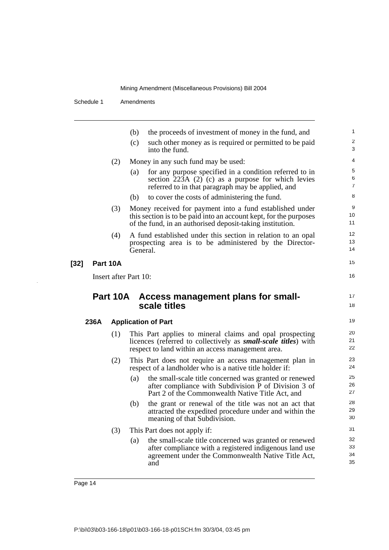Schedule 1 Amendments

|      |          | the proceeds of investment of money in the fund, and<br>(b)                                                                                                                                | 1                    |
|------|----------|--------------------------------------------------------------------------------------------------------------------------------------------------------------------------------------------|----------------------|
|      |          | such other money as is required or permitted to be paid<br>(c)                                                                                                                             | $\overline{2}$       |
|      |          | into the fund.                                                                                                                                                                             | 3                    |
|      | (2)      | Money in any such fund may be used:                                                                                                                                                        | 4                    |
|      |          | for any purpose specified in a condition referred to in<br>(a)<br>section $223A$ (2) (c) as a purpose for which levies<br>referred to in that paragraph may be applied, and                | 5<br>6<br>7          |
|      |          | to cover the costs of administering the fund.<br>(b)                                                                                                                                       | 8                    |
|      | (3)      | Money received for payment into a fund established under<br>this section is to be paid into an account kept, for the purposes<br>of the fund, in an authorised deposit-taking institution. | 9<br>10<br>11        |
|      | (4)      | A fund established under this section in relation to an opal<br>prospecting area is to be administered by the Director-<br>General.                                                        | 12<br>13<br>14       |
|      | Part 10A |                                                                                                                                                                                            | 15                   |
|      |          | Insert after Part 10:                                                                                                                                                                      | 16                   |
|      |          |                                                                                                                                                                                            |                      |
|      |          | Part 10A Access management plans for small-<br>scale titles                                                                                                                                | 17<br>18             |
|      |          |                                                                                                                                                                                            |                      |
| 236A |          | <b>Application of Part</b>                                                                                                                                                                 | 19                   |
|      | (1)      | This Part applies to mineral claims and opal prospecting<br>licences (referred to collectively as <i>small-scale titles</i> ) with<br>respect to land within an access management area.    | 20<br>21<br>22       |
|      | (2)      | This Part does not require an access management plan in<br>respect of a landholder who is a native title holder if:                                                                        | 23<br>24             |
|      |          | the small-scale title concerned was granted or renewed<br>(a)<br>after compliance with Subdivision P of Division 3 of<br>Part 2 of the Commonwealth Native Title Act, and                  | 25<br>26<br>27       |
|      |          | the grant or renewal of the title was not an act that<br>(b)<br>attracted the expedited procedure under and within the<br>meaning of that Subdivision.                                     | 28<br>29<br>30       |
|      | (3)      | This Part does not apply if:                                                                                                                                                               | 31                   |
|      |          | the small-scale title concerned was granted or renewed<br>(a)<br>after compliance with a registered indigenous land use<br>agreement under the Commonwealth Native Title Act,<br>and       | 32<br>33<br>34<br>35 |

Page 14

**[32]**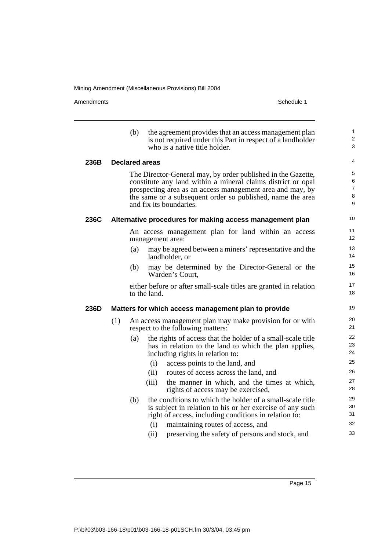Amendments Schedule 1

|      |     | (b)                   |              | the agreement provides that an access management plan<br>is not required under this Part in respect of a landholder<br>who is a native title holder. | $\mathbf{1}$<br>2<br>3 |
|------|-----|-----------------------|--------------|------------------------------------------------------------------------------------------------------------------------------------------------------|------------------------|
| 236B |     | <b>Declared areas</b> |              |                                                                                                                                                      | 4                      |
|      |     |                       |              | The Director-General may, by order published in the Gazette,                                                                                         | 5                      |
|      |     |                       |              | constitute any land within a mineral claims district or opal                                                                                         | 6<br>$\overline{7}$    |
|      |     |                       |              | prospecting area as an access management area and may, by<br>the same or a subsequent order so published, name the area                              | 8                      |
|      |     |                       |              | and fix its boundaries.                                                                                                                              | 9                      |
| 236C |     |                       |              | Alternative procedures for making access management plan                                                                                             | 10                     |
|      |     |                       |              | An access management plan for land within an access<br>management area:                                                                              | 11<br>12               |
|      |     | (a)                   |              | may be agreed between a miners' representative and the<br>landholder, or                                                                             | 13<br>14               |
|      |     | (b)                   |              | may be determined by the Director-General or the<br>Warden's Court,                                                                                  | 15<br>16               |
|      |     |                       | to the land. | either before or after small-scale titles are granted in relation                                                                                    | 17<br>18               |
| 236D |     |                       |              | Matters for which access management plan to provide                                                                                                  | 19                     |
|      | (1) |                       |              | An access management plan may make provision for or with<br>respect to the following matters:                                                        | 20<br>21               |
|      |     | (a)                   |              | the rights of access that the holder of a small-scale title                                                                                          | 22                     |
|      |     |                       |              | has in relation to the land to which the plan applies,                                                                                               | 23<br>24               |
|      |     |                       |              | including rights in relation to:                                                                                                                     | 25                     |
|      |     |                       | (i)          | access points to the land, and                                                                                                                       | 26                     |
|      |     |                       | (ii)         | routes of access across the land, and                                                                                                                | 27                     |
|      |     |                       | (iii)        | the manner in which, and the times at which,<br>rights of access may be exercised,                                                                   | 28                     |
|      |     | (b)                   |              | the conditions to which the holder of a small-scale title                                                                                            | 29                     |
|      |     |                       |              | is subject in relation to his or her exercise of any such<br>right of access, including conditions in relation to:                                   | 30<br>31               |
|      |     |                       | (i)          | maintaining routes of access, and                                                                                                                    | 32                     |
|      |     |                       |              |                                                                                                                                                      |                        |

(ii) preserving the safety of persons and stock, and

Page 15

33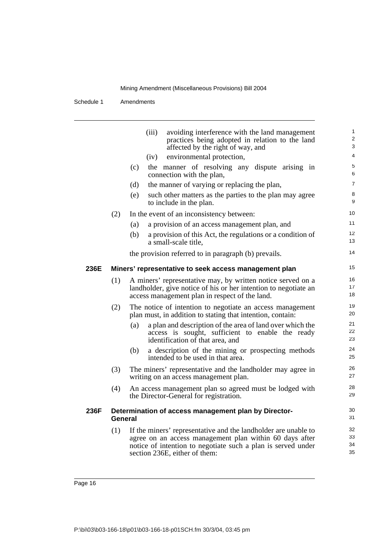Schedule 1 Amendments

| (iii)<br>avoiding interference with the land management<br>practices being adopted in relation to the land                                                                                                                 | 1<br>$\overline{2}$<br>3                                                                                                                                                                                                                                                     |
|----------------------------------------------------------------------------------------------------------------------------------------------------------------------------------------------------------------------------|------------------------------------------------------------------------------------------------------------------------------------------------------------------------------------------------------------------------------------------------------------------------------|
|                                                                                                                                                                                                                            | $\overline{4}$                                                                                                                                                                                                                                                               |
| (c)                                                                                                                                                                                                                        | 5                                                                                                                                                                                                                                                                            |
| connection with the plan,                                                                                                                                                                                                  | 6                                                                                                                                                                                                                                                                            |
| (d)<br>the manner of varying or replacing the plan,                                                                                                                                                                        | $\overline{7}$                                                                                                                                                                                                                                                               |
| (e)<br>such other matters as the parties to the plan may agree<br>to include in the plan.                                                                                                                                  | 8<br>9                                                                                                                                                                                                                                                                       |
| In the event of an inconsistency between:                                                                                                                                                                                  | 10                                                                                                                                                                                                                                                                           |
| (a)<br>a provision of an access management plan, and                                                                                                                                                                       | 11                                                                                                                                                                                                                                                                           |
| (b)<br>a provision of this Act, the regulations or a condition of                                                                                                                                                          | 12                                                                                                                                                                                                                                                                           |
|                                                                                                                                                                                                                            | 13                                                                                                                                                                                                                                                                           |
| the provision referred to in paragraph (b) prevails.                                                                                                                                                                       | 14                                                                                                                                                                                                                                                                           |
|                                                                                                                                                                                                                            | 15                                                                                                                                                                                                                                                                           |
| A miners' representative may, by written notice served on a<br>landholder, give notice of his or her intention to negotiate an<br>access management plan in respect of the land.                                           | 16<br>17<br>18                                                                                                                                                                                                                                                               |
| The notice of intention to negotiate an access management<br>plan must, in addition to stating that intention, contain:                                                                                                    | 19<br>20                                                                                                                                                                                                                                                                     |
| (a)<br>a plan and description of the area of land over which the<br>access is sought, sufficient to enable the ready<br>identification of that area, and                                                                   | 21<br>22<br>23                                                                                                                                                                                                                                                               |
| (b)<br>a description of the mining or prospecting methods<br>intended to be used in that area.                                                                                                                             | 24<br>25                                                                                                                                                                                                                                                                     |
| The miners' representative and the landholder may agree in<br>writing on an access management plan.                                                                                                                        | 26<br>27                                                                                                                                                                                                                                                                     |
| An access management plan so agreed must be lodged with<br>the Director-General for registration.                                                                                                                          | 28<br>29                                                                                                                                                                                                                                                                     |
|                                                                                                                                                                                                                            | 30<br>31                                                                                                                                                                                                                                                                     |
| If the miners' representative and the landholder are unable to<br>agree on an access management plan within 60 days after<br>notice of intention to negotiate such a plan is served under<br>section 236E, either of them: | 32<br>33<br>34<br>35                                                                                                                                                                                                                                                         |
|                                                                                                                                                                                                                            | affected by the right of way, and<br>environmental protection,<br>(iv)<br>the manner of resolving any dispute arising in<br>a small-scale title,<br>Miners' representative to seek access management plan<br>Determination of access management plan by Director-<br>General |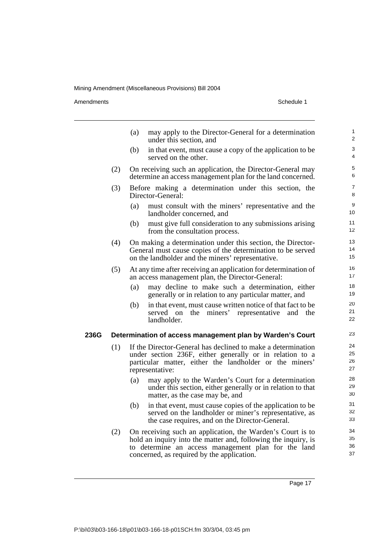Amendments Schedule 1

|      |     | (a)<br>under this section, and             | may apply to the Director-General for a determination                                                                                                                               | 1<br>$\overline{2}$  |
|------|-----|--------------------------------------------|-------------------------------------------------------------------------------------------------------------------------------------------------------------------------------------|----------------------|
|      |     | (b)<br>served on the other.                | in that event, must cause a copy of the application to be                                                                                                                           | 3<br>4               |
|      | (2) |                                            | On receiving such an application, the Director-General may<br>determine an access management plan for the land concerned.                                                           | 5<br>6               |
|      | (3) | Director-General:                          | Before making a determination under this section, the                                                                                                                               | $\overline{7}$<br>8  |
|      |     | (a)<br>landholder concerned, and           | must consult with the miners' representative and the                                                                                                                                | 9<br>10              |
|      |     | (b)                                        | must give full consideration to any submissions arising<br>from the consultation process.                                                                                           | 11<br>12             |
|      | (4) |                                            | On making a determination under this section, the Director-<br>General must cause copies of the determination to be served<br>on the landholder and the miners' representative.     | 13<br>14<br>15       |
|      | (5) |                                            | At any time after receiving an application for determination of<br>an access management plan, the Director-General:                                                                 | 16<br>17             |
|      |     | (a)                                        | may decline to make such a determination, either<br>generally or in relation to any particular matter, and                                                                          | 18<br>19             |
|      |     | (b)<br>served on<br>landholder.            | in that event, must cause written notice of that fact to be<br>the<br>miners'<br>representative<br>and<br>the                                                                       | 20<br>21<br>22       |
| 236G |     |                                            | Determination of access management plan by Warden's Court                                                                                                                           | 23                   |
|      | (1) | representative:                            | If the Director-General has declined to make a determination<br>under section 236F, either generally or in relation to a<br>particular matter, either the landholder or the miners' | 24<br>25<br>26<br>27 |
|      |     | (a)                                        | may apply to the Warden's Court for a determination<br>under this section, either generally or in relation to that<br>matter, as the case may be, and                               | 28<br>29<br>30       |
|      |     | (b)                                        | in that event, must cause copies of the application to be<br>served on the landholder or miner's representative, as<br>the case requires, and on the Director-General.              | 31<br>32<br>33       |
|      | (2) | concerned, as required by the application. | On receiving such an application, the Warden's Court is to<br>hold an inquiry into the matter and, following the inquiry, is<br>to determine an access management plan for the land | 34<br>35<br>36<br>37 |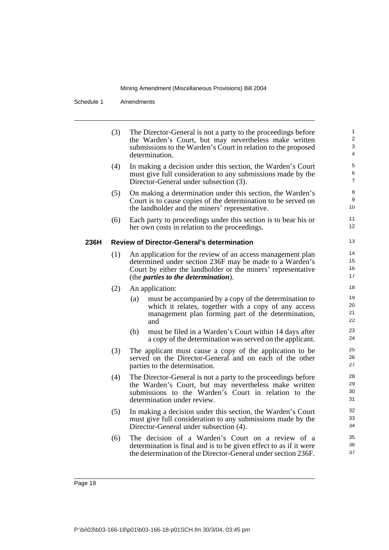Schedule 1 Amendments

|      | (3) | The Director-General is not a party to the proceedings before<br>the Warden's Court, but may nevertheless make written<br>submissions to the Warden's Court in relation to the proposed<br>determination.                            | 1<br>$\overline{\mathbf{c}}$<br>3<br>$\overline{4}$ |
|------|-----|--------------------------------------------------------------------------------------------------------------------------------------------------------------------------------------------------------------------------------------|-----------------------------------------------------|
|      | (4) | In making a decision under this section, the Warden's Court<br>must give full consideration to any submissions made by the<br>Director-General under subsection (3).                                                                 | 5<br>6<br>$\overline{7}$                            |
|      | (5) | On making a determination under this section, the Warden's<br>Court is to cause copies of the determination to be served on<br>the landholder and the miners' representative.                                                        | 8<br>9<br>10                                        |
|      | (6) | Each party to proceedings under this section is to bear his or<br>her own costs in relation to the proceedings.                                                                                                                      | 11<br>12                                            |
| 236H |     | <b>Review of Director-General's determination</b>                                                                                                                                                                                    | 13                                                  |
|      | (1) | An application for the review of an access management plan<br>determined under section 236F may be made to a Warden's<br>Court by either the landholder or the miners' representative<br>(the <i>parties to the determination</i> ). | 14<br>15<br>16<br>17                                |
|      | (2) | An application:                                                                                                                                                                                                                      | 18                                                  |
|      |     | must be accompanied by a copy of the determination to<br>(a)<br>which it relates, together with a copy of any access<br>management plan forming part of the determination,<br>and                                                    | 19<br>20<br>21<br>22                                |
|      |     | must be filed in a Warden's Court within 14 days after<br>(b)<br>a copy of the determination was served on the applicant.                                                                                                            | 23<br>24                                            |
|      | (3) | The applicant must cause a copy of the application to be<br>served on the Director-General and on each of the other<br>parties to the determination.                                                                                 | 25<br>26<br>27                                      |
|      | (4) | The Director-General is not a party to the proceedings before<br>the Warden's Court, but may nevertheless make written<br>submissions to the Warden's Court in relation to the<br>determination under review.                        | 28<br>29<br>30<br>31                                |
|      | (5) | In making a decision under this section, the Warden's Court<br>must give full consideration to any submissions made by the<br>Director-General under subsection (4).                                                                 | 32<br>33<br>34                                      |
|      | (6) | The decision of a Warden's Court on a review of a<br>determination is final and is to be given effect to as if it were<br>the determination of the Director-General under section 236F.                                              | 35<br>36<br>37                                      |
|      |     |                                                                                                                                                                                                                                      |                                                     |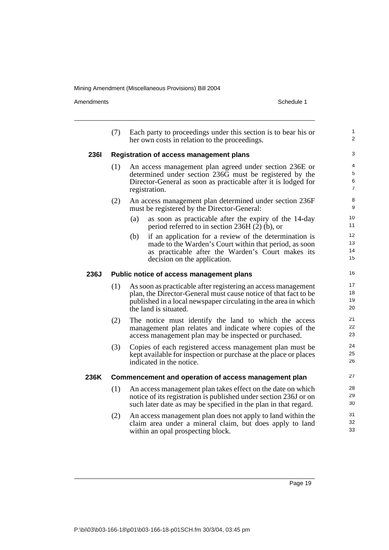Amendments Schedule 1

|             | (7) | Each party to proceedings under this section is to bear his or<br>her own costs in relation to the proceedings.                                                                                                              | $\mathbf{1}$<br>2             |
|-------------|-----|------------------------------------------------------------------------------------------------------------------------------------------------------------------------------------------------------------------------------|-------------------------------|
| <b>2361</b> |     | <b>Registration of access management plans</b>                                                                                                                                                                               | 3                             |
|             | (1) | An access management plan agreed under section 236E or<br>determined under section 236G must be registered by the<br>Director-General as soon as practicable after it is lodged for<br>registration.                         | 4<br>5<br>6<br>$\overline{7}$ |
|             | (2) | An access management plan determined under section 236F<br>must be registered by the Director-General:                                                                                                                       | 8<br>9                        |
|             |     | (a)<br>as soon as practicable after the expiry of the 14-day<br>period referred to in section $236H(2)$ (b), or                                                                                                              | 10<br>11                      |
|             |     | if an application for a review of the determination is<br>(b)<br>made to the Warden's Court within that period, as soon<br>as practicable after the Warden's Court makes its<br>decision on the application.                 | 12<br>13<br>14<br>15          |
| 236J        |     | Public notice of access management plans                                                                                                                                                                                     | 16                            |
|             | (1) | As soon as practicable after registering an access management<br>plan, the Director-General must cause notice of that fact to be<br>published in a local newspaper circulating in the area in which<br>the land is situated. | 17<br>18<br>19<br>20          |
|             | (2) | The notice must identify the land to which the access<br>management plan relates and indicate where copies of the<br>access management plan may be inspected or purchased.                                                   | 21<br>22<br>23                |
|             | (3) | Copies of each registered access management plan must be<br>kept available for inspection or purchase at the place or places<br>indicated in the notice.                                                                     | 24<br>25<br>26                |
| 236K        |     | Commencement and operation of access management plan                                                                                                                                                                         | 27                            |
|             | (1) | An access management plan takes effect on the date on which<br>notice of its registration is published under section 236J or on<br>such later date as may be specified in the plan in that regard.                           | 28<br>29<br>30                |
|             | (2) | An access management plan does not apply to land within the<br>claim area under a mineral claim, but does apply to land<br>within an opal prospecting block.                                                                 | 31<br>32<br>33                |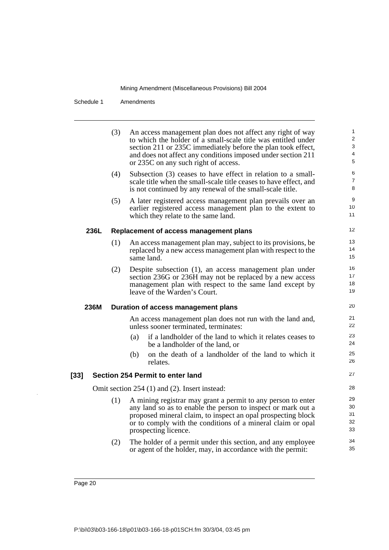Schedule 1 Amendments

|      | (3) | An access management plan does not affect any right of way<br>to which the holder of a small-scale title was entitled under<br>section 211 or 235C immediately before the plan took effect,<br>and does not affect any conditions imposed under section 211<br>or 235C on any such right of access. | 1<br>$\overline{\mathbf{c}}$<br>3<br>4<br>5 |
|------|-----|-----------------------------------------------------------------------------------------------------------------------------------------------------------------------------------------------------------------------------------------------------------------------------------------------------|---------------------------------------------|
|      | (4) | Subsection (3) ceases to have effect in relation to a small-<br>scale title when the small-scale title ceases to have effect, and<br>is not continued by any renewal of the small-scale title.                                                                                                      | 6<br>7<br>8                                 |
|      | (5) | A later registered access management plan prevails over an<br>earlier registered access management plan to the extent to<br>which they relate to the same land.                                                                                                                                     | 9<br>10<br>11                               |
| 236L |     | Replacement of access management plans                                                                                                                                                                                                                                                              | 12                                          |
|      | (1) | An access management plan may, subject to its provisions, be<br>replaced by a new access management plan with respect to the<br>same land.                                                                                                                                                          | 13<br>14<br>15                              |
|      | (2) | Despite subsection (1), an access management plan under<br>section 236G or 236H may not be replaced by a new access<br>management plan with respect to the same land except by<br>leave of the Warden's Court.                                                                                      | 16<br>17<br>18<br>19                        |
| 236M |     | Duration of access management plans                                                                                                                                                                                                                                                                 | 20                                          |
|      |     | An access management plan does not run with the land and,<br>unless sooner terminated, terminates:                                                                                                                                                                                                  | 21<br>22                                    |
|      |     | if a landholder of the land to which it relates ceases to<br>(a)<br>be a landholder of the land, or                                                                                                                                                                                                 | 23<br>24                                    |
|      |     | on the death of a landholder of the land to which it<br>(b)<br>relates.                                                                                                                                                                                                                             | 25<br>26                                    |
| [33] |     | Section 254 Permit to enter land                                                                                                                                                                                                                                                                    | 27                                          |
|      |     | Omit section 254 (1) and (2). Insert instead:                                                                                                                                                                                                                                                       | 28                                          |
|      | (1) | A mining registrar may grant a permit to any person to enter<br>any land so as to enable the person to inspect or mark out a<br>proposed mineral claim, to inspect an opal prospecting block<br>or to comply with the conditions of a mineral claim or opal<br>prospecting licence.                 | 29<br>30<br>31<br>32<br>33                  |
|      | (2) | The holder of a permit under this section, and any employee<br>or agent of the holder, may, in accordance with the permit:                                                                                                                                                                          | 34<br>35                                    |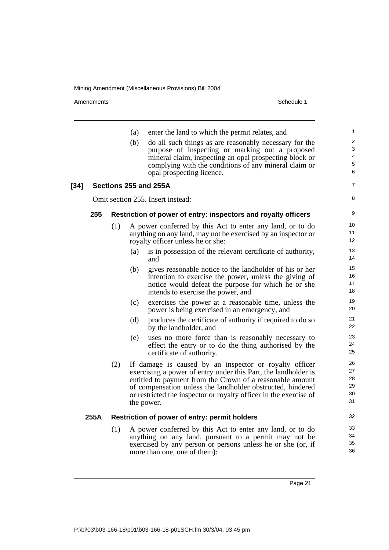Amendments Schedule 1

 $\bar{z}$ 

|        |      |     | (a) | enter the land to which the permit relates, and                   | 1              |
|--------|------|-----|-----|-------------------------------------------------------------------|----------------|
|        |      |     | (b) | do all such things as are reasonably necessary for the            | $\overline{2}$ |
|        |      |     |     | purpose of inspecting or marking out a proposed                   | 3              |
|        |      |     |     | mineral claim, inspecting an opal prospecting block or            | 4              |
|        |      |     |     | complying with the conditions of any mineral claim or             | 5              |
|        |      |     |     | opal prospecting licence.                                         | 6              |
| $[34]$ |      |     |     | Sections 255 and 255A                                             | $\overline{7}$ |
|        |      |     |     | Omit section 255. Insert instead:                                 | 8              |
|        | 255  |     |     | Restriction of power of entry: inspectors and royalty officers    | 9              |
|        |      | (1) |     | A power conferred by this Act to enter any land, or to do         | 10             |
|        |      |     |     | anything on any land, may not be exercised by an inspector or     | 11             |
|        |      |     |     | royalty officer unless he or she:                                 | 12             |
|        |      |     | (a) | is in possession of the relevant certificate of authority,        | 13             |
|        |      |     |     | and                                                               | 14             |
|        |      |     | (b) | gives reasonable notice to the landholder of his or her           | 15             |
|        |      |     |     | intention to exercise the power, unless the giving of             | 16             |
|        |      |     |     | notice would defeat the purpose for which he or she               | 17             |
|        |      |     |     | intends to exercise the power, and                                | 18             |
|        |      |     | (c) | exercises the power at a reasonable time, unless the              | 19             |
|        |      |     |     | power is being exercised in an emergency, and                     | 20             |
|        |      |     | (d) | produces the certificate of authority if required to do so        | 21             |
|        |      |     |     | by the landholder, and                                            | 22             |
|        |      |     | (e) | uses no more force than is reasonably necessary to                | 23             |
|        |      |     |     | effect the entry or to do the thing authorised by the             | 24             |
|        |      |     |     | certificate of authority.                                         | 25             |
|        |      | (2) |     | If damage is caused by an inspector or royalty officer            | 26             |
|        |      |     |     | exercising a power of entry under this Part, the landholder is    | 27             |
|        |      |     |     | entitled to payment from the Crown of a reasonable amount         | 28             |
|        |      |     |     | of compensation unless the landholder obstructed, hindered        | 29             |
|        |      |     |     | or restricted the inspector or royalty officer in the exercise of | 30<br>31       |
|        |      |     |     | the power.                                                        |                |
|        | 255A |     |     | Restriction of power of entry: permit holders                     | 32             |
|        |      | (1) |     | A power conferred by this Act to enter any land, or to do         | 33             |
|        |      |     |     | anything on any land, pursuant to a permit may not be             | 34             |
|        |      |     |     | exercised by any person or persons unless he or she (or, if       | 35             |
|        |      |     |     | more than one, one of them):                                      | 36             |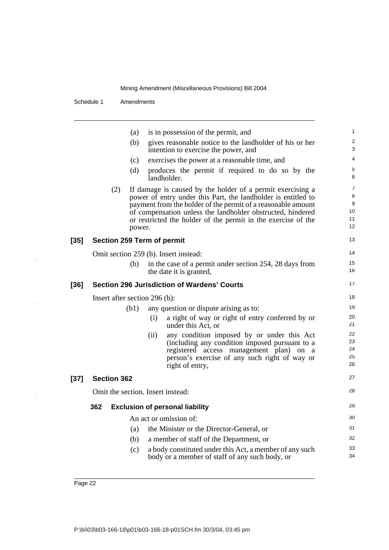Schedule 1 Amendments

|        |                    | (a)    | is in possession of the permit, and                                                                                                                                                                                                                                                                                        |
|--------|--------------------|--------|----------------------------------------------------------------------------------------------------------------------------------------------------------------------------------------------------------------------------------------------------------------------------------------------------------------------------|
|        |                    | (b)    | gives reasonable notice to the landholder of his or her<br>intention to exercise the power, and                                                                                                                                                                                                                            |
|        |                    | (c)    | exercises the power at a reasonable time, and                                                                                                                                                                                                                                                                              |
|        |                    | (d)    | produces the permit if required to do so by the<br>landholder.                                                                                                                                                                                                                                                             |
|        | (2)                | power. | If damage is caused by the holder of a permit exercising a<br>power of entry under this Part, the landholder is entitled to<br>payment from the holder of the permit of a reasonable amount<br>of compensation unless the landholder obstructed, hindered<br>or restricted the holder of the permit in the exercise of the |
| $[35]$ |                    |        | Section 259 Term of permit                                                                                                                                                                                                                                                                                                 |
|        |                    |        | Omit section 259 (b). Insert instead:                                                                                                                                                                                                                                                                                      |
|        |                    | (b)    | in the case of a permit under section 254, 28 days from<br>the date it is granted,                                                                                                                                                                                                                                         |
| [36]   |                    |        | <b>Section 296 Jurisdiction of Wardens' Courts</b>                                                                                                                                                                                                                                                                         |
|        |                    |        | Insert after section 296 (b):                                                                                                                                                                                                                                                                                              |
|        |                    | (b1)   | any question or dispute arising as to:                                                                                                                                                                                                                                                                                     |
|        |                    |        | a right of way or right of entry conferred by or<br>(i)<br>under this Act, or                                                                                                                                                                                                                                              |
|        |                    |        | any condition imposed by or under this Act<br>(ii)<br>(including any condition imposed pursuant to a<br>registered access management plan) on a<br>person's exercise of any such right of way or<br>right of entry,                                                                                                        |
| [37]   | <b>Section 362</b> |        |                                                                                                                                                                                                                                                                                                                            |
|        |                    |        | Omit the section. Insert instead:                                                                                                                                                                                                                                                                                          |
|        | 362                |        | <b>Exclusion of personal liability</b>                                                                                                                                                                                                                                                                                     |
|        |                    |        | An act or omission of:                                                                                                                                                                                                                                                                                                     |
|        |                    | (a)    | the Minister or the Director-General, or                                                                                                                                                                                                                                                                                   |
|        |                    | (b)    | a member of staff of the Department, or                                                                                                                                                                                                                                                                                    |
|        |                    |        | a body constituted under this Act, a member of any such                                                                                                                                                                                                                                                                    |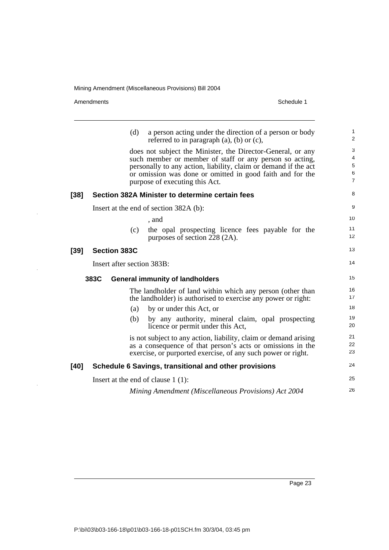Amendments Schedule 1

 $\ddot{\phantom{a}}$ 

 $\cdot$ 

 $\ddot{\phantom{a}}$ 

|                             | (d)<br>a person acting under the direction of a person or body<br>referred to in paragraph $(a)$ , $(b)$ or $(c)$ ,                                                                                                                                                                      | $\mathbf{1}$<br>2                                             |
|-----------------------------|------------------------------------------------------------------------------------------------------------------------------------------------------------------------------------------------------------------------------------------------------------------------------------------|---------------------------------------------------------------|
|                             | does not subject the Minister, the Director-General, or any<br>such member or member of staff or any person so acting,<br>personally to any action, liability, claim or demand if the act<br>or omission was done or omitted in good faith and for the<br>purpose of executing this Act. | 3<br>$\overline{4}$<br>$\mathbf 5$<br>$\,6$<br>$\overline{7}$ |
| [38]                        | Section 382A Minister to determine certain fees                                                                                                                                                                                                                                          | 8                                                             |
|                             | Insert at the end of section 382A (b):                                                                                                                                                                                                                                                   | 9                                                             |
|                             | , and                                                                                                                                                                                                                                                                                    | 10                                                            |
|                             | the opal prospecting licence fees payable for the<br>(c)<br>purposes of section 228 (2A).                                                                                                                                                                                                | 11<br>12                                                      |
| <b>Section 383C</b><br>[39] |                                                                                                                                                                                                                                                                                          | 13                                                            |
|                             | Insert after section 383B:                                                                                                                                                                                                                                                               | 14                                                            |
| 383C                        | <b>General immunity of landholders</b>                                                                                                                                                                                                                                                   | 15                                                            |
|                             | The landholder of land within which any person (other than<br>the landholder) is authorised to exercise any power or right:                                                                                                                                                              | 16<br>17                                                      |
|                             | by or under this Act, or<br>(a)                                                                                                                                                                                                                                                          | 18                                                            |
|                             | by any authority, mineral claim, opal prospecting<br>(b)<br>licence or permit under this Act,                                                                                                                                                                                            | 19<br>20                                                      |
|                             | is not subject to any action, liability, claim or demand arising<br>as a consequence of that person's acts or omissions in the<br>exercise, or purported exercise, of any such power or right.                                                                                           | 21<br>22<br>23                                                |
| [40]                        | Schedule 6 Savings, transitional and other provisions                                                                                                                                                                                                                                    | 24                                                            |
|                             | Insert at the end of clause $1(1)$ :                                                                                                                                                                                                                                                     | 25                                                            |
|                             | <b>Mining Amendment (Miscellaneous Provisions) Act 2004</b>                                                                                                                                                                                                                              | 26                                                            |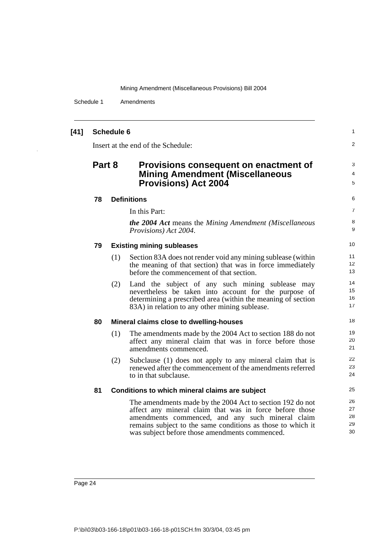Schedule 1 Amendments

| [41] |        | <b>Schedule 6</b> |                                                                                                                                                                                                                                                                                           | 1                          |
|------|--------|-------------------|-------------------------------------------------------------------------------------------------------------------------------------------------------------------------------------------------------------------------------------------------------------------------------------------|----------------------------|
|      |        |                   | Insert at the end of the Schedule:                                                                                                                                                                                                                                                        | 2                          |
|      | Part 8 |                   | Provisions consequent on enactment of<br><b>Mining Amendment (Miscellaneous</b><br><b>Provisions) Act 2004</b>                                                                                                                                                                            | 3<br>4<br>5                |
|      | 78     |                   | <b>Definitions</b>                                                                                                                                                                                                                                                                        | 6                          |
|      |        |                   | In this Part:                                                                                                                                                                                                                                                                             | 7                          |
|      |        |                   | <b>the 2004 Act means the Mining Amendment (Miscellaneous</b><br>Provisions) Act 2004.                                                                                                                                                                                                    | 8<br>9                     |
|      | 79     |                   | <b>Existing mining subleases</b>                                                                                                                                                                                                                                                          | 10                         |
|      |        | (1)               | Section 83A does not render void any mining sublease (within<br>the meaning of that section) that was in force immediately<br>before the commencement of that section.                                                                                                                    | 11<br>12<br>13             |
|      |        | (2)               | Land the subject of any such mining sublease may<br>nevertheless be taken into account for the purpose of<br>determining a prescribed area (within the meaning of section<br>83A) in relation to any other mining sublease.                                                               | 14<br>15<br>16<br>17       |
|      | 80     |                   | Mineral claims close to dwelling-houses                                                                                                                                                                                                                                                   | 18                         |
|      |        | (1)               | The amendments made by the 2004 Act to section 188 do not<br>affect any mineral claim that was in force before those<br>amendments commenced.                                                                                                                                             | 19<br>20<br>21             |
|      |        | (2)               | Subclause (1) does not apply to any mineral claim that is<br>renewed after the commencement of the amendments referred<br>to in that subclause.                                                                                                                                           | 22<br>23<br>24             |
|      | 81     |                   | Conditions to which mineral claims are subject                                                                                                                                                                                                                                            | 25                         |
|      |        |                   | The amendments made by the 2004 Act to section 192 do not<br>affect any mineral claim that was in force before those<br>amendments commenced, and any such mineral claim<br>remains subject to the same conditions as those to which it<br>was subject before those amendments commenced. | 26<br>27<br>28<br>29<br>30 |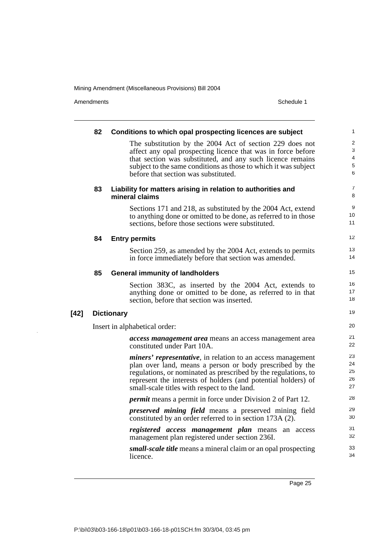Amendments Schedule 1

 $\overline{a}$ 

|        | 82                            | Conditions to which opal prospecting licences are subject                                                                                                                                                                                                                                                          | 1                                  |
|--------|-------------------------------|--------------------------------------------------------------------------------------------------------------------------------------------------------------------------------------------------------------------------------------------------------------------------------------------------------------------|------------------------------------|
|        |                               | The substitution by the 2004 Act of section 229 does not<br>affect any opal prospecting licence that was in force before<br>that section was substituted, and any such licence remains<br>subject to the same conditions as those to which it was subject<br>before that section was substituted.                  | $\overline{c}$<br>3<br>4<br>5<br>6 |
|        | 83                            | Liability for matters arising in relation to authorities and<br>mineral claims                                                                                                                                                                                                                                     | 7<br>8                             |
|        |                               | Sections 171 and 218, as substituted by the 2004 Act, extend<br>to anything done or omitted to be done, as referred to in those<br>sections, before those sections were substituted.                                                                                                                               | 9<br>10<br>11                      |
|        | 84                            | <b>Entry permits</b>                                                                                                                                                                                                                                                                                               | 12                                 |
|        |                               | Section 259, as amended by the 2004 Act, extends to permits<br>in force immediately before that section was amended.                                                                                                                                                                                               | 13<br>14                           |
|        | 85                            | <b>General immunity of landholders</b>                                                                                                                                                                                                                                                                             | 15                                 |
|        |                               | Section 383C, as inserted by the 2004 Act, extends to<br>anything done or omitted to be done, as referred to in that<br>section, before that section was inserted.                                                                                                                                                 | 16<br>17<br>18                     |
| $[42]$ |                               | <b>Dictionary</b>                                                                                                                                                                                                                                                                                                  | 19                                 |
|        | Insert in alphabetical order: |                                                                                                                                                                                                                                                                                                                    | 20                                 |
|        |                               | access management area means an access management area<br>constituted under Part 10A.                                                                                                                                                                                                                              | 21<br>22                           |
|        |                               | <i>miners' representative</i> , in relation to an access management<br>plan over land, means a person or body prescribed by the<br>regulations, or nominated as prescribed by the regulations, to<br>represent the interests of holders (and potential holders) of<br>small-scale titles with respect to the land. | 23<br>24<br>25<br>26<br>27         |
|        |                               | <i>permit</i> means a permit in force under Division 2 of Part 12.                                                                                                                                                                                                                                                 | 28                                 |
|        |                               | <i>preserved mining field</i> means a preserved mining field<br>constituted by an order referred to in section 173A (2).                                                                                                                                                                                           | 29<br>30                           |
|        |                               | <i>registered access management plan</i> means an access<br>management plan registered under section 236I.                                                                                                                                                                                                         | 31<br>32                           |
|        |                               | <i>small-scale title</i> means a mineral claim or an opal prospecting<br>licence.                                                                                                                                                                                                                                  | 33<br>34                           |
|        |                               |                                                                                                                                                                                                                                                                                                                    |                                    |